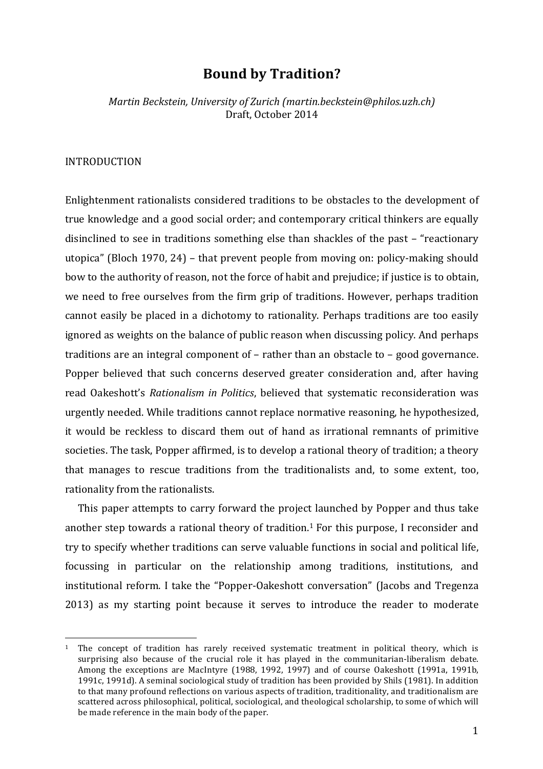# **Bound by Tradition?**

*Martin Beckstein, University of Zurich (martin.beckstein@philos.uzh.ch)* Draft, October 2014

#### INTRODUCTION

 

Enlightenment rationalists considered traditions to be obstacles to the development of true knowledge and a good social order; and contemporary critical thinkers are equally disinclined to see in traditions something else than shackles of the past – "reactionary" utopica" (Bloch 1970, 24) – that prevent people from moving on: policy-making should bow to the authority of reason, not the force of habit and prejudice; if justice is to obtain, we need to free ourselves from the firm grip of traditions. However, perhaps tradition cannot easily be placed in a dichotomy to rationality. Perhaps traditions are too easily ignored as weights on the balance of public reason when discussing policy. And perhaps traditions are an integral component of  $-$  rather than an obstacle to  $-$  good governance. Popper believed that such concerns deserved greater consideration and, after having read Oakeshott's *Rationalism in Politics*, believed that systematic reconsideration was urgently needed. While traditions cannot replace normative reasoning, he hypothesized, it would be reckless to discard them out of hand as irrational remnants of primitive societies. The task, Popper affirmed, is to develop a rational theory of tradition; a theory that manages to rescue traditions from the traditionalists and, to some extent, too, rationality from the rationalists.

This paper attempts to carry forward the project launched by Popper and thus take another step towards a rational theory of tradition.<sup>1</sup> For this purpose, I reconsider and try to specify whether traditions can serve valuable functions in social and political life, focussing in particular on the relationship among traditions, institutions, and institutional reform. I take the "Popper-Oakeshott conversation" (Jacobs and Tregenza 2013) as my starting point because it serves to introduce the reader to moderate

 $1$  The concept of tradition has rarely received systematic treatment in political theory, which is surprising also because of the crucial role it has played in the communitarian-liberalism debate. Among the exceptions are MacIntyre (1988, 1992, 1997) and of course Oakeshott (1991a, 1991b, 1991c, 1991d). A seminal sociological study of tradition has been provided by Shils (1981). In addition to that many profound reflections on various aspects of tradition, traditionality, and traditionalism are scattered across philosophical, political, sociological, and theological scholarship, to some of which will be made reference in the main body of the paper.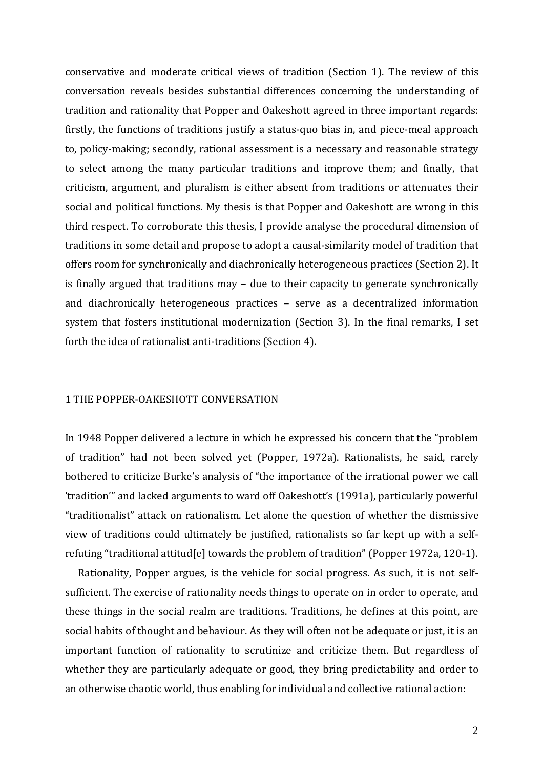conservative and moderate critical views of tradition (Section 1). The review of this conversation reveals besides substantial differences concerning the understanding of tradition and rationality that Popper and Oakeshott agreed in three important regards: firstly, the functions of traditions justify a status-quo bias in, and piece-meal approach to, policy-making; secondly, rational assessment is a necessary and reasonable strategy to select among the many particular traditions and improve them; and finally, that criticism, argument, and pluralism is either absent from traditions or attenuates their social and political functions. My thesis is that Popper and Oakeshott are wrong in this third respect. To corroborate this thesis, I provide analyse the procedural dimension of traditions in some detail and propose to adopt a causal-similarity model of tradition that offers room for synchronically and diachronically heterogeneous practices (Section 2). It is finally argued that traditions  $\text{may}$  – due to their capacity to generate synchronically and diachronically heterogeneous practices – serve as a decentralized information system that fosters institutional modernization (Section 3). In the final remarks, I set forth the idea of rationalist anti-traditions (Section 4).

#### 1 THE POPPER-OAKESHOTT CONVERSATION

In 1948 Popper delivered a lecture in which he expressed his concern that the "problem" of tradition" had not been solved yet (Popper, 1972a). Rationalists, he said, rarely bothered to criticize Burke's analysis of "the importance of the irrational power we call 'tradition'" and lacked arguments to ward off Oakeshott's (1991a), particularly powerful "traditionalist" attack on rationalism. Let alone the question of whether the dismissive view of traditions could ultimately be justified, rationalists so far kept up with a selfrefuting "traditional attitud[e] towards the problem of tradition" (Popper 1972a, 120-1).

Rationality, Popper argues, is the vehicle for social progress. As such, it is not selfsufficient. The exercise of rationality needs things to operate on in order to operate, and these things in the social realm are traditions. Traditions, he defines at this point, are social habits of thought and behaviour. As they will often not be adequate or just, it is an important function of rationality to scrutinize and criticize them. But regardless of whether they are particularly adequate or good, they bring predictability and order to an otherwise chaotic world, thus enabling for individual and collective rational action: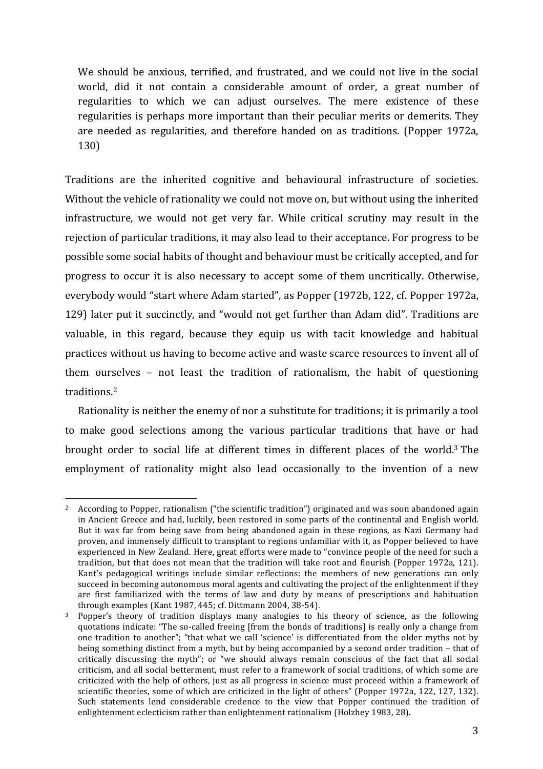We should be anxious, terrified, and frustrated, and we could not live in the social world, did it not contain a considerable amount of order, a great number of regularities to which we can adjust ourselves. The mere existence of these regularities is perhaps more important than their peculiar merits or demerits. They are needed as regularities, and therefore handed on as traditions. (Popper 1972a, 130)

Traditions are the inherited cognitive and behavioural infrastructure of societies. Without the vehicle of rationality we could not move on, but without using the inherited infrastructure, we would not get very far. While critical scrutiny may result in the rejection of particular traditions, it may also lead to their acceptance. For progress to be possible some social habits of thought and behaviour must be critically accepted, and for progress to occur it is also necessary to accept some of them uncritically. Otherwise, everybody would "start where Adam started", as Popper (1972b, 122, cf. Popper 1972a, 129) later put it succinctly, and "would not get further than Adam did". Traditions are valuable, in this regard, because they equip us with tacit knowledge and habitual practices without us having to become active and waste scarce resources to invent all of them ourselves  $-$  not least the tradition of rationalism, the habit of questioning traditions. 2

Rationality is neither the enemy of nor a substitute for traditions; it is primarily a tool to make good selections among the various particular traditions that have or had brought order to social life at different times in different places of the world.<sup>3</sup> The employment of rationality might also lead occasionally to the invention of a new

<sup>&</sup>lt;sup>2</sup> According to Popper, rationalism ("the scientific tradition") originated and was soon abandoned again in Ancient Greece and had, luckily, been restored in some parts of the continental and English world. But it was far from being save from being abandoned again in these regions, as Nazi Germany had proven, and immensely difficult to transplant to regions unfamiliar with it, as Popper believed to have experienced in New Zealand. Here, great efforts were made to "convince people of the need for such a tradition, but that does not mean that the tradition will take root and flourish (Popper 1972a, 121). Kant's pedagogical writings include similar reflections: the members of new generations can only succeed in becoming autonomous moral agents and cultivating the project of the enlightenment if they are first familiarized with the terms of law and duty by means of prescriptions and habituation through examples (Kant 1987, 445; cf. Dittmann 2004, 38-54).

Popper's theory of tradition displays many analogies to his theory of science, as the following quotations indicate: "The so-called freeing [from the bonds of traditions] is really only a change from one tradition to another"; "that what we call 'science' is differentiated from the older myths not by being something distinct from a myth, but by being accompanied by a second order tradition – that of critically discussing the myth"; or "we should always remain conscious of the fact that all social criticism, and all social betterment, must refer to a framework of social traditions, of which some are criticized with the help of others, just as all progress in science must proceed within a framework of scientific theories, some of which are criticized in the light of others" (Popper 1972a, 122, 127, 132). Such statements lend considerable credence to the view that Popper continued the tradition of enlightenment eclecticism rather than enlightenment rationalism (Holzhey 1983, 28).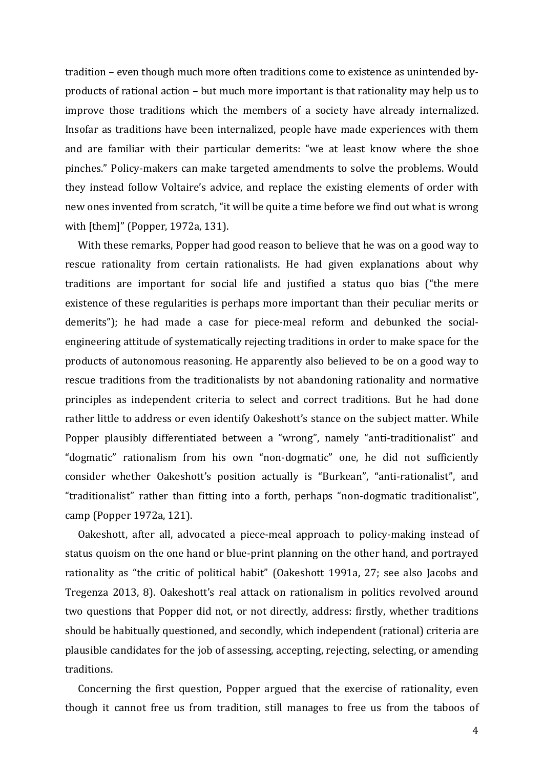tradition – even though much more often traditions come to existence as unintended byproducts of rational action – but much more important is that rationality may help us to improve those traditions which the members of a society have already internalized. Insofar as traditions have been internalized, people have made experiences with them and are familiar with their particular demerits: "we at least know where the shoe pinches." Policy-makers can make targeted amendments to solve the problems. Would they instead follow Voltaire's advice, and replace the existing elements of order with new ones invented from scratch, "it will be quite a time before we find out what is wrong with  $[them]''$  (Popper, 1972a, 131).

With these remarks, Popper had good reason to believe that he was on a good way to rescue rationality from certain rationalists. He had given explanations about why traditions are important for social life and justified a status quo bias ("the mere existence of these regularities is perhaps more important than their peculiar merits or demerits"); he had made a case for piece-meal reform and debunked the socialengineering attitude of systematically rejecting traditions in order to make space for the products of autonomous reasoning. He apparently also believed to be on a good way to rescue traditions from the traditionalists by not abandoning rationality and normative principles as independent criteria to select and correct traditions. But he had done rather little to address or even identify Oakeshott's stance on the subject matter. While Popper plausibly differentiated between a "wrong", namely "anti-traditionalist" and "dogmatic" rationalism from his own "non-dogmatic" one, he did not sufficiently consider whether Oakeshott's position actually is "Burkean", "anti-rationalist", and "traditionalist" rather than fitting into a forth, perhaps "non-dogmatic traditionalist", camp (Popper 1972a, 121).

Oakeshott, after all, advocated a piece-meal approach to policy-making instead of status quoism on the one hand or blue-print planning on the other hand, and portrayed rationality as "the critic of political habit" (Oakeshott 1991a, 27; see also Jacobs and Tregenza 2013, 8). Oakeshott's real attack on rationalism in politics revolved around two questions that Popper did not, or not directly, address: firstly, whether traditions should be habitually questioned, and secondly, which independent (rational) criteria are plausible candidates for the job of assessing, accepting, rejecting, selecting, or amending traditions.

Concerning the first question, Popper argued that the exercise of rationality, even though it cannot free us from tradition, still manages to free us from the taboos of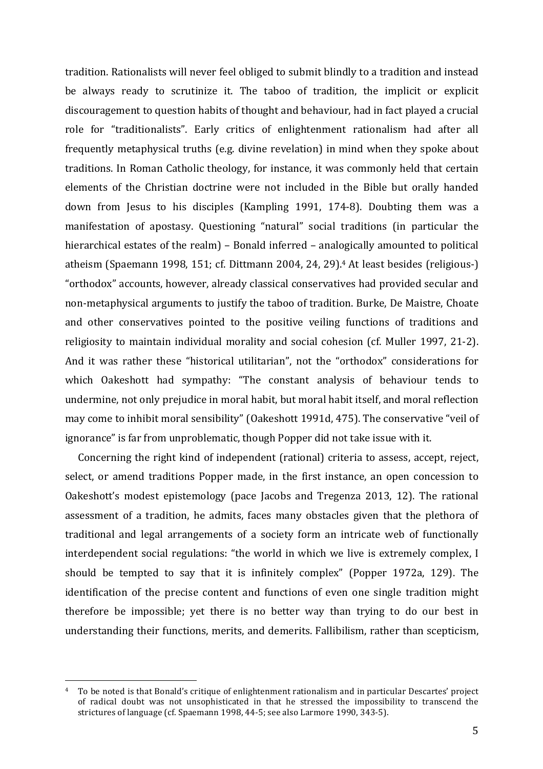tradition. Rationalists will never feel obliged to submit blindly to a tradition and instead be always ready to scrutinize it. The taboo of tradition, the implicit or explicit discouragement to question habits of thought and behaviour, had in fact played a crucial role for "traditionalists". Early critics of enlightenment rationalism had after all frequently metaphysical truths (e.g. divine revelation) in mind when they spoke about traditions. In Roman Catholic theology, for instance, it was commonly held that certain elements of the Christian doctrine were not included in the Bible but orally handed down from Jesus to his disciples (Kampling 1991, 174-8). Doubting them was a manifestation of apostasy. Questioning "natural" social traditions (in particular the hierarchical estates of the realm) – Bonald inferred – analogically amounted to political atheism (Spaemann 1998, 151; cf. Dittmann  $2004$ ,  $24$ ,  $29$ ).<sup>4</sup> At least besides (religious-) "orthodox" accounts, however, already classical conservatives had provided secular and non-metaphysical arguments to justify the taboo of tradition. Burke, De Maistre, Choate and other conservatives pointed to the positive veiling functions of traditions and religiosity to maintain individual morality and social cohesion (cf. Muller 1997, 21-2). And it was rather these "historical utilitarian", not the "orthodox" considerations for which Oakeshott had sympathy: "The constant analysis of behaviour tends to undermine, not only prejudice in moral habit, but moral habit itself, and moral reflection may come to inhibit moral sensibility" (Oakeshott 1991d, 475). The conservative "veil of ignorance" is far from unproblematic, though Popper did not take issue with it.

Concerning the right kind of independent (rational) criteria to assess, accept, reject, select, or amend traditions Popper made, in the first instance, an open concession to Oakeshott's modest epistemology (pace Jacobs and Tregenza 2013, 12). The rational assessment of a tradition, he admits, faces many obstacles given that the plethora of traditional and legal arrangements of a society form an intricate web of functionally interdependent social regulations: "the world in which we live is extremely complex, I should be tempted to say that it is infinitely complex" (Popper 1972a, 129). The identification of the precise content and functions of even one single tradition might therefore be impossible; yet there is no better way than trying to do our best in understanding their functions, merits, and demerits. Fallibilism, rather than scepticism,

<sup>&</sup>lt;sup>4</sup> To be noted is that Bonald's critique of enlightenment rationalism and in particular Descartes' project of radical doubt was not unsophisticated in that he stressed the impossibility to transcend the strictures of language (cf. Spaemann 1998, 44-5; see also Larmore 1990, 343-5).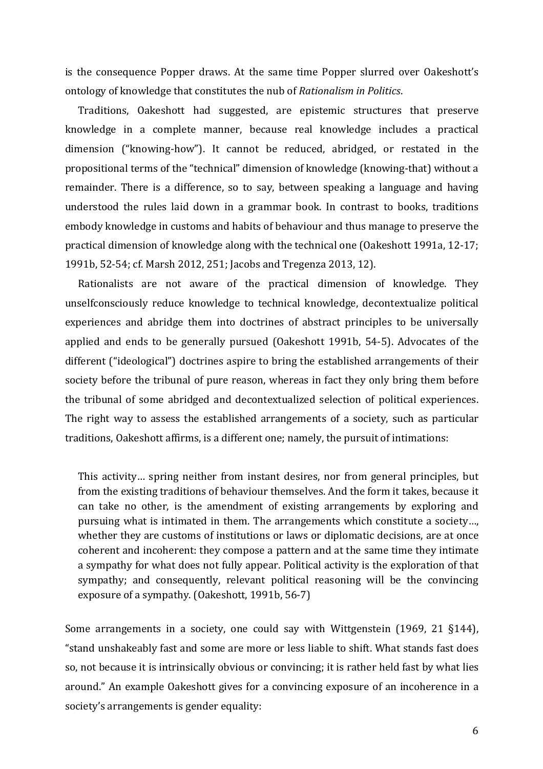is the consequence Popper draws. At the same time Popper slurred over Oakeshott's ontology of knowledge that constitutes the nub of *Rationalism in Politics*.

Traditions, Oakeshott had suggested, are epistemic structures that preserve knowledge in a complete manner, because real knowledge includes a practical dimension ("knowing-how"). It cannot be reduced, abridged, or restated in the propositional terms of the "technical" dimension of knowledge (knowing-that) without a remainder. There is a difference, so to say, between speaking a language and having understood the rules laid down in a grammar book. In contrast to books, traditions embody knowledge in customs and habits of behaviour and thus manage to preserve the practical dimension of knowledge along with the technical one (Oakeshott 1991a, 12-17; 1991b, 52-54; cf. Marsh 2012, 251; Jacobs and Tregenza 2013, 12).

Rationalists are not aware of the practical dimension of knowledge. They unselfconsciously reduce knowledge to technical knowledge, decontextualize political experiences and abridge them into doctrines of abstract principles to be universally applied and ends to be generally pursued (Oakeshott 1991b, 54-5). Advocates of the different ("ideological") doctrines aspire to bring the established arrangements of their society before the tribunal of pure reason, whereas in fact they only bring them before the tribunal of some abridged and decontextualized selection of political experiences. The right way to assess the established arrangements of a society, such as particular traditions, Oakeshott affirms, is a different one; namely, the pursuit of intimations:

This activity... spring neither from instant desires, nor from general principles, but from the existing traditions of behaviour themselves. And the form it takes, because it can take no other, is the amendment of existing arrangements by exploring and pursuing what is intimated in them. The arrangements which constitute a society..., whether they are customs of institutions or laws or diplomatic decisions, are at once coherent and incoherent: they compose a pattern and at the same time they intimate a sympathy for what does not fully appear. Political activity is the exploration of that sympathy; and consequently, relevant political reasoning will be the convincing exposure of a sympathy. (Oakeshott, 1991b, 56-7)

Some arrangements in a society, one could say with Wittgenstein  $(1969, 21 \text{ §}144)$ , "stand unshakeably fast and some are more or less liable to shift. What stands fast does so, not because it is intrinsically obvious or convincing; it is rather held fast by what lies around." An example Oakeshott gives for a convincing exposure of an incoherence in a society's arrangements is gender equality: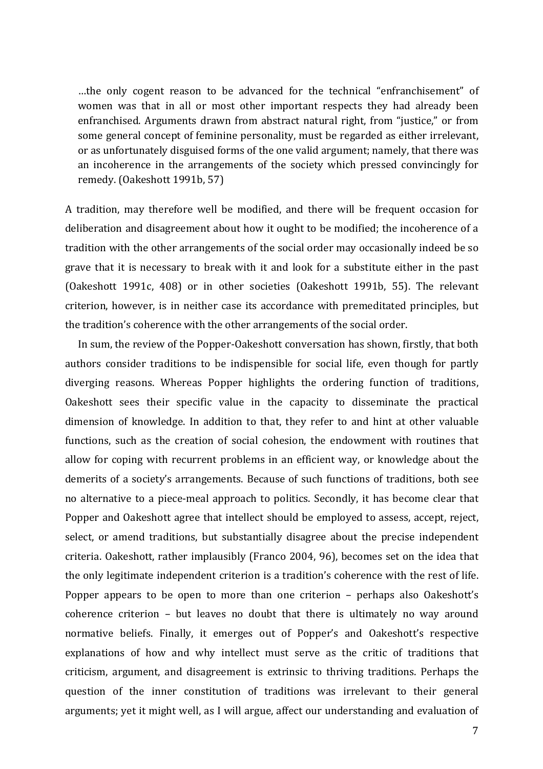...the only cogent reason to be advanced for the technical "enfranchisement" of women was that in all or most other important respects they had already been enfranchised. Arguments drawn from abstract natural right, from "justice," or from some general concept of feminine personality, must be regarded as either irrelevant, or as unfortunately disguised forms of the one valid argument; namely, that there was an incoherence in the arrangements of the society which pressed convincingly for remedy. (Oakeshott 1991b, 57)

A tradition, may therefore well be modified, and there will be frequent occasion for deliberation and disagreement about how it ought to be modified; the incoherence of a tradition with the other arrangements of the social order may occasionally indeed be so grave that it is necessary to break with it and look for a substitute either in the past (Oakeshott 1991c, 408) or in other societies (Oakeshott 1991b, 55). The relevant criterion, however, is in neither case its accordance with premeditated principles, but the tradition's coherence with the other arrangements of the social order.

In sum, the review of the Popper-Oakeshott conversation has shown, firstly, that both authors consider traditions to be indispensible for social life, even though for partly diverging reasons. Whereas Popper highlights the ordering function of traditions, Oakeshott sees their specific value in the capacity to disseminate the practical dimension of knowledge. In addition to that, they refer to and hint at other valuable functions, such as the creation of social cohesion, the endowment with routines that allow for coping with recurrent problems in an efficient way, or knowledge about the demerits of a society's arrangements. Because of such functions of traditions, both see no alternative to a piece-meal approach to politics. Secondly, it has become clear that Popper and Oakeshott agree that intellect should be employed to assess, accept, reject, select, or amend traditions, but substantially disagree about the precise independent criteria. Oakeshott, rather implausibly (Franco 2004, 96), becomes set on the idea that the only legitimate independent criterion is a tradition's coherence with the rest of life. Popper appears to be open to more than one criterion – perhaps also Oakeshott's  $coherence criterion - but leaves no doubt that there is ultimately no way around$ normative beliefs. Finally, it emerges out of Popper's and Oakeshott's respective explanations of how and why intellect must serve as the critic of traditions that criticism, argument, and disagreement is extrinsic to thriving traditions. Perhaps the question of the inner constitution of traditions was irrelevant to their general arguments; yet it might well, as I will argue, affect our understanding and evaluation of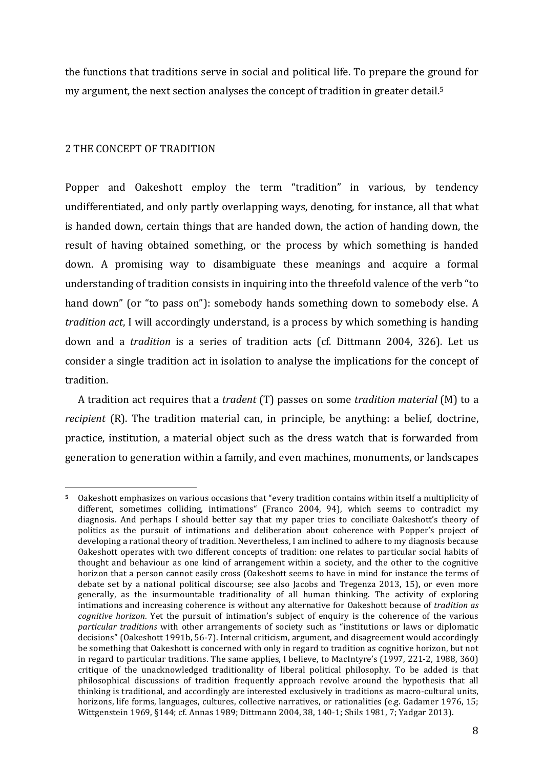the functions that traditions serve in social and political life. To prepare the ground for my argument, the next section analyses the concept of tradition in greater detail.<sup>5</sup>

### 2 THE CONCEPT OF TRADITION

Popper and Oakeshott employ the term "tradition" in various, by tendency undifferentiated, and only partly overlapping ways, denoting, for instance, all that what is handed down, certain things that are handed down, the action of handing down, the result of having obtained something, or the process by which something is handed down. A promising way to disambiguate these meanings and acquire a formal understanding of tradition consists in inquiring into the threefold valence of the verb "to hand down" (or "to pass on"): somebody hands something down to somebody else. A *tradition act*, I will accordingly understand, is a process by which something is handing down and a *tradition* is a series of tradition acts (cf. Dittmann 2004, 326). Let us consider a single tradition act in isolation to analyse the implications for the concept of tradition.

A tradition act requires that a *tradent* (T) passes on some *tradition material* (M) to a *recipient* (R). The tradition material can, in principle, be anything: a belief, doctrine, practice, institution, a material object such as the dress watch that is forwarded from generation to generation within a family, and even machines, monuments, or landscapes

 Oakeshott emphasizes on various occasions that "every tradition contains within itself a multiplicity of different, sometimes colliding, intimations" (Franco 2004, 94), which seems to contradict my diagnosis. And perhaps I should better say that my paper tries to conciliate Oakeshott's theory of politics as the pursuit of intimations and deliberation about coherence with Popper's project of developing a rational theory of tradition. Nevertheless, I am inclined to adhere to my diagnosis because Oakeshott operates with two different concepts of tradition: one relates to particular social habits of thought and behaviour as one kind of arrangement within a society, and the other to the cognitive horizon that a person cannot easily cross (Oakeshott seems to have in mind for instance the terms of debate set by a national political discourse; see also Jacobs and Tregenza 2013, 15), or even more generally, as the insurmountable traditionality of all human thinking. The activity of exploring intimations and increasing coherence is without any alternative for Oakeshott because of *tradition* as *cognitive horizon*. Yet the pursuit of intimation's subject of enquiry is the coherence of the various *particular traditions* with other arrangements of society such as "institutions or laws or diplomatic decisions" (Oakeshott 1991b, 56-7). Internal criticism, argument, and disagreement would accordingly be something that Oakeshott is concerned with only in regard to tradition as cognitive horizon, but not in regard to particular traditions. The same applies, I believe, to MacIntyre's  $(1997, 221-2, 1988, 360)$ critique of the unacknowledged traditionality of liberal political philosophy. To be added is that philosophical discussions of tradition frequently approach revolve around the hypothesis that all thinking is traditional, and accordingly are interested exclusively in traditions as macro-cultural units, horizons, life forms, languages, cultures, collective narratives, or rationalities (e.g. Gadamer 1976, 15; Wittgenstein 1969, §144; cf. Annas 1989; Dittmann 2004, 38, 140-1; Shils 1981, 7; Yadgar 2013).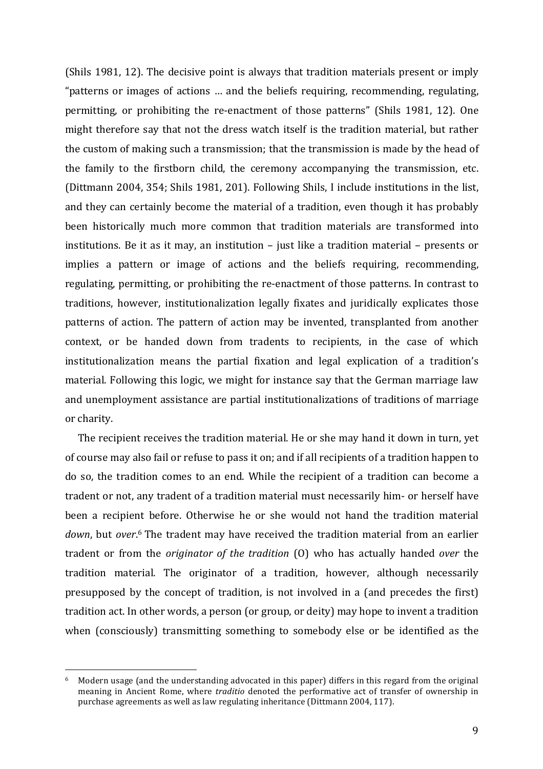(Shils 1981, 12). The decisive point is always that tradition materials present or imply "patterns or images of actions  $\ldots$  and the beliefs requiring, recommending, regulating, permitting, or prohibiting the re-enactment of those patterns" (Shils 1981, 12). One might therefore say that not the dress watch itself is the tradition material, but rather the custom of making such a transmission; that the transmission is made by the head of the family to the firstborn child, the ceremony accompanying the transmission, etc. (Dittmann 2004, 354; Shils 1981, 201). Following Shils, I include institutions in the list, and they can certainly become the material of a tradition, even though it has probably been historically much more common that tradition materials are transformed into institutions. Be it as it may, an institution  $-$  just like a tradition material  $-$  presents or implies a pattern or image of actions and the beliefs requiring, recommending, regulating, permitting, or prohibiting the re-enactment of those patterns. In contrast to traditions, however, institutionalization legally fixates and juridically explicates those patterns of action. The pattern of action may be invented, transplanted from another context, or be handed down from tradents to recipients, in the case of which institutionalization means the partial fixation and legal explication of a tradition's material. Following this logic, we might for instance say that the German marriage law and unemployment assistance are partial institutionalizations of traditions of marriage or charity.

The recipient receives the tradition material. He or she may hand it down in turn, yet of course may also fail or refuse to pass it on; and if all recipients of a tradition happen to do so, the tradition comes to an end. While the recipient of a tradition can become a tradent or not, any tradent of a tradition material must necessarily him- or herself have been a recipient before. Otherwise he or she would not hand the tradition material down, but over.<sup>6</sup> The tradent may have received the tradition material from an earlier tradent or from the *originator* of the tradition (0) who has actually handed *over* the tradition material. The originator of a tradition, however, although necessarily presupposed by the concept of tradition, is not involved in a (and precedes the first) tradition act. In other words, a person (or group, or deity) may hope to invent a tradition when (consciously) transmitting something to somebody else or be identified as the

 $6$  Modern usage (and the understanding advocated in this paper) differs in this regard from the original meaning in Ancient Rome, where *traditio* denoted the performative act of transfer of ownership in purchase agreements as well as law regulating inheritance (Dittmann 2004, 117).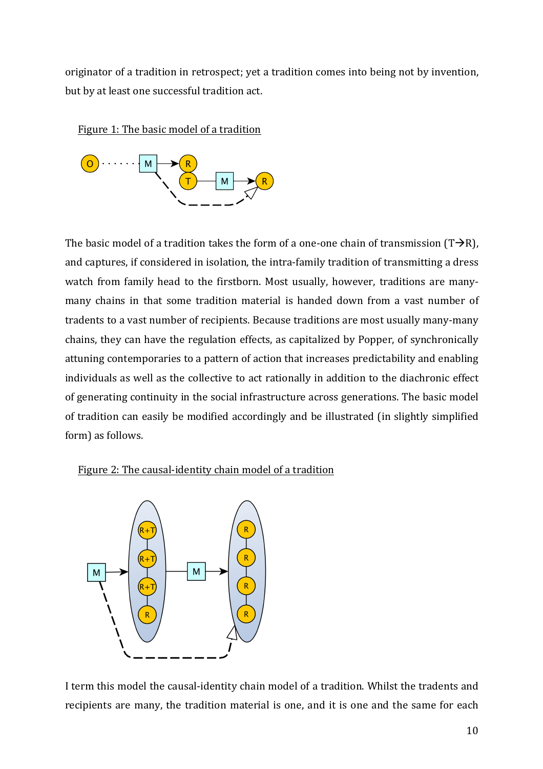originator of a tradition in retrospect; yet a tradition comes into being not by invention, but by at least one successful tradition act.



Figure 1: The basic model of a tradition

The basic model of a tradition takes the form of a one-one chain of transmission  $(T\rightarrow R)$ , and captures, if considered in isolation, the intra-family tradition of transmitting a dress watch from family head to the firstborn. Most usually, however, traditions are manymany chains in that some tradition material is handed down from a vast number of tradents to a vast number of recipients. Because traditions are most usually many-many chains, they can have the regulation effects, as capitalized by Popper, of synchronically attuning contemporaries to a pattern of action that increases predictability and enabling individuals as well as the collective to act rationally in addition to the diachronic effect of generating continuity in the social infrastructure across generations. The basic model of tradition can easily be modified accordingly and be illustrated (in slightly simplified form) as follows.

# Figure 2: The causal-identity chain model of a tradition



I term this model the causal-identity chain model of a tradition. Whilst the tradents and recipients are many, the tradition material is one, and it is one and the same for each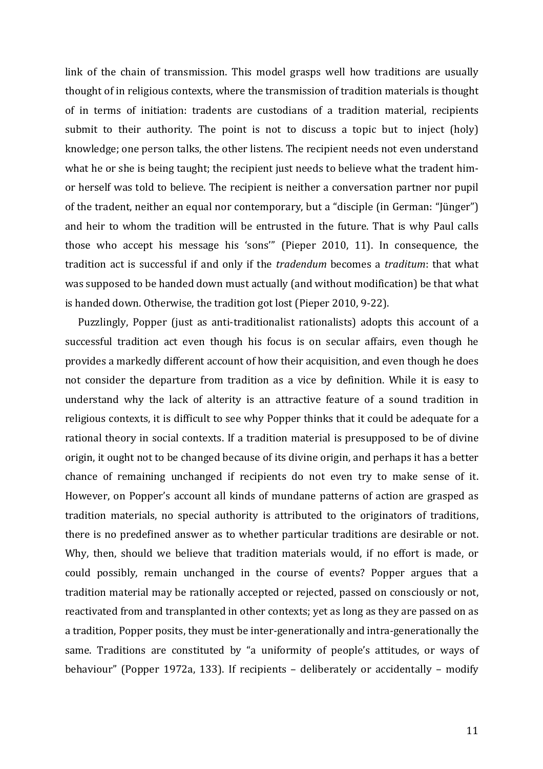link of the chain of transmission. This model grasps well how traditions are usually thought of in religious contexts, where the transmission of tradition materials is thought of in terms of initiation: tradents are custodians of a tradition material, recipients submit to their authority. The point is not to discuss a topic but to inject  $(holy)$ knowledge; one person talks, the other listens. The recipient needs not even understand what he or she is being taught; the recipient just needs to believe what the tradent himor herself was told to believe. The recipient is neither a conversation partner nor pupil of the tradent, neither an equal nor contemporary, but a "disciple (in German: "Jünger") and heir to whom the tradition will be entrusted in the future. That is why Paul calls those who accept his message his 'sons'" (Pieper 2010, 11). In consequence, the tradition act is successful if and only if the *tradendum* becomes a *traditum*: that what was supposed to be handed down must actually (and without modification) be that what is handed down. Otherwise, the tradition got lost (Pieper 2010, 9-22).

Puzzlingly, Popper (just as anti-traditionalist rationalists) adopts this account of a successful tradition act even though his focus is on secular affairs, even though he provides a markedly different account of how their acquisition, and even though he does not consider the departure from tradition as a vice by definition. While it is easy to understand why the lack of alterity is an attractive feature of a sound tradition in religious contexts, it is difficult to see why Popper thinks that it could be adequate for a rational theory in social contexts. If a tradition material is presupposed to be of divine origin, it ought not to be changed because of its divine origin, and perhaps it has a better chance of remaining unchanged if recipients do not even try to make sense of it. However, on Popper's account all kinds of mundane patterns of action are grasped as tradition materials, no special authority is attributed to the originators of traditions, there is no predefined answer as to whether particular traditions are desirable or not. Why, then, should we believe that tradition materials would, if no effort is made, or could possibly, remain unchanged in the course of events? Popper argues that a tradition material may be rationally accepted or rejected, passed on consciously or not, reactivated from and transplanted in other contexts; yet as long as they are passed on as a tradition, Popper posits, they must be inter-generationally and intra-generationally the same. Traditions are constituted by "a uniformity of people's attitudes, or ways of behaviour" (Popper 1972a, 133). If recipients  $-$  deliberately or accidentally  $-$  modify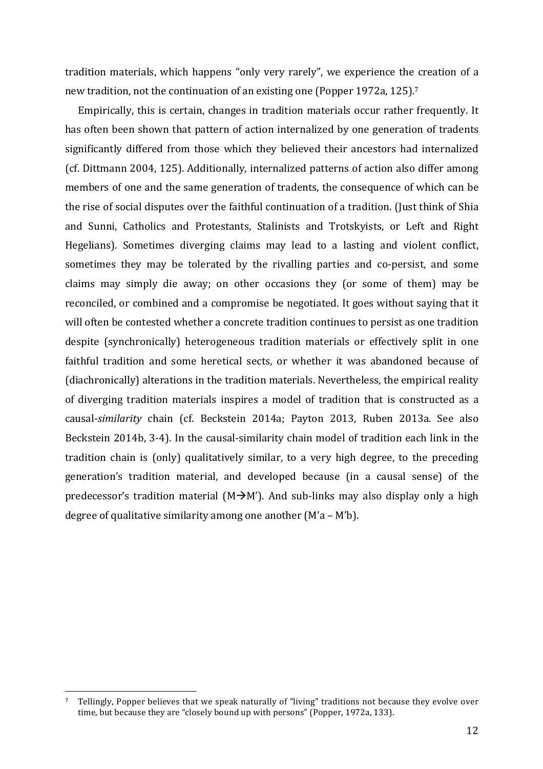tradition materials, which happens "only very rarely", we experience the creation of a new tradition, not the continuation of an existing one (Popper 1972a, 125).<sup>7</sup>

Empirically, this is certain, changes in tradition materials occur rather frequently. It has often been shown that pattern of action internalized by one generation of tradents significantly differed from those which they believed their ancestors had internalized (cf. Dittmann 2004, 125). Additionally, internalized patterns of action also differ among members of one and the same generation of tradents, the consequence of which can be the rise of social disputes over the faithful continuation of a tradition. (Just think of Shia and Sunni, Catholics and Protestants, Stalinists and Trotskyists, or Left and Right Hegelians). Sometimes diverging claims may lead to a lasting and violent conflict, sometimes they may be tolerated by the rivalling parties and co-persist, and some claims may simply die away; on other occasions they (or some of them) may be reconciled, or combined and a compromise be negotiated. It goes without saying that it will often be contested whether a concrete tradition continues to persist as one tradition despite (synchronically) heterogeneous tradition materials or effectively split in one faithful tradition and some heretical sects, or whether it was abandoned because of (diachronically) alterations in the tradition materials. Nevertheless, the empirical reality of diverging tradition materials inspires a model of tradition that is constructed as a causal-*similarity* chain (cf. Beckstein 2014a; Payton 2013, Ruben 2013a. See also Beckstein 2014b, 3-4). In the causal-similarity chain model of tradition each link in the tradition chain is (only) qualitatively similar, to a very high degree, to the preceding generation's tradition material, and developed because (in a causal sense) of the predecessor's tradition material  $(M\rightarrow M')$ . And sub-links may also display only a high degree of qualitative similarity among one another  $(M'a - M'b)$ .

<sup>&</sup>lt;sup>7</sup> Tellingly, Popper believes that we speak naturally of "living" traditions not because they evolve over time, but because they are "closely bound up with persons" (Popper, 1972a, 133).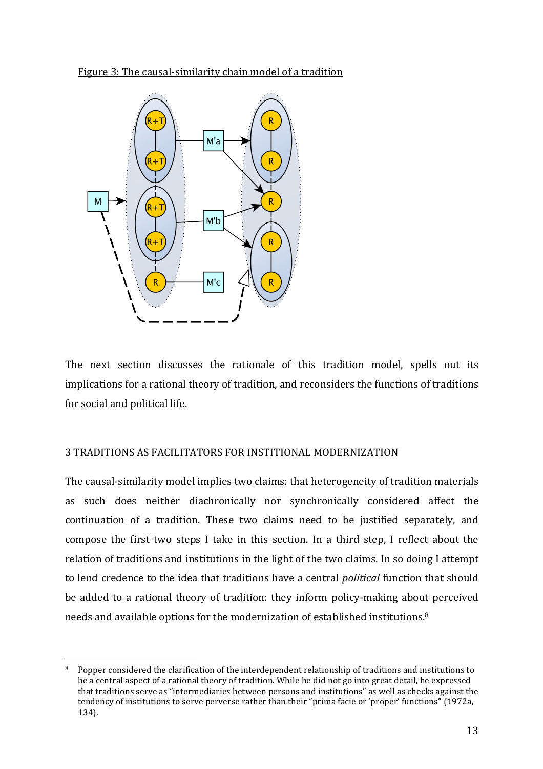Figure 3: The causal-similarity chain model of a tradition



The next section discusses the rationale of this tradition model, spells out its implications for a rational theory of tradition, and reconsiders the functions of traditions for social and political life.

# 3 TRADITIONS AS FACILITATORS FOR INSTITIONAL MODERNIZATION

The causal-similarity model implies two claims: that heterogeneity of tradition materials as such does neither diachronically nor synchronically considered affect the continuation of a tradition. These two claims need to be justified separately, and compose the first two steps I take in this section. In a third step, I reflect about the relation of traditions and institutions in the light of the two claims. In so doing I attempt to lend credence to the idea that traditions have a central *political* function that should be added to a rational theory of tradition: they inform policy-making about perceived needs and available options for the modernization of established institutions.<sup>8</sup>

  $8$  Popper considered the clarification of the interdependent relationship of traditions and institutions to be a central aspect of a rational theory of tradition. While he did not go into great detail, he expressed that traditions serve as "intermediaries between persons and institutions" as well as checks against the tendency of institutions to serve perverse rather than their "prima facie or 'proper' functions" (1972a, 134).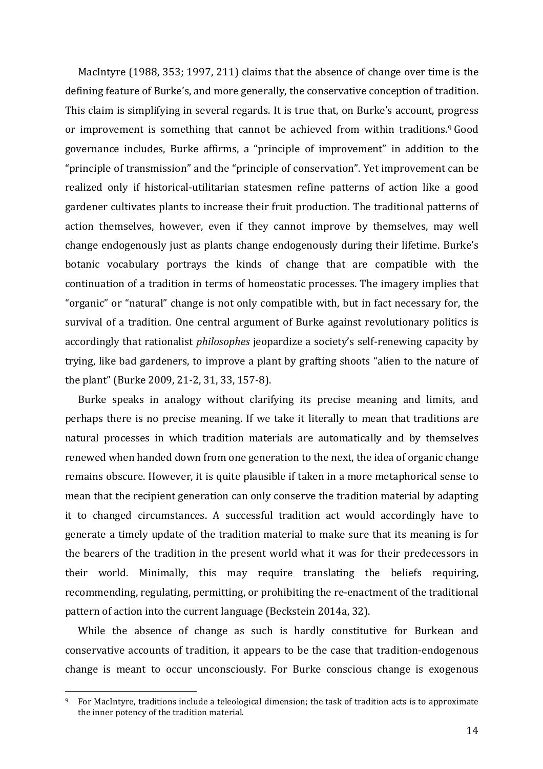MacIntyre (1988, 353; 1997, 211) claims that the absence of change over time is the defining feature of Burke's, and more generally, the conservative conception of tradition. This claim is simplifying in several regards. It is true that, on Burke's account, progress or improvement is something that cannot be achieved from within traditions.<sup>9</sup> Good governance includes, Burke affirms, a "principle of improvement" in addition to the "principle of transmission" and the "principle of conservation". Yet improvement can be realized only if historical-utilitarian statesmen refine patterns of action like a good gardener cultivates plants to increase their fruit production. The traditional patterns of action themselves, however, even if they cannot improve by themselves, may well change endogenously just as plants change endogenously during their lifetime. Burke's botanic vocabulary portrays the kinds of change that are compatible with the continuation of a tradition in terms of homeostatic processes. The imagery implies that "organic" or "natural" change is not only compatible with, but in fact necessary for, the survival of a tradition. One central argument of Burke against revolutionary politics is accordingly that rationalist *philosophes* jeopardize a society's self-renewing capacity by trying, like bad gardeners, to improve a plant by grafting shoots "alien to the nature of the plant" (Burke 2009, 21-2, 31, 33, 157-8).

Burke speaks in analogy without clarifying its precise meaning and limits, and perhaps there is no precise meaning. If we take it literally to mean that traditions are natural processes in which tradition materials are automatically and by themselves renewed when handed down from one generation to the next, the idea of organic change remains obscure. However, it is quite plausible if taken in a more metaphorical sense to mean that the recipient generation can only conserve the tradition material by adapting it to changed circumstances. A successful tradition act would accordingly have to generate a timely update of the tradition material to make sure that its meaning is for the bearers of the tradition in the present world what it was for their predecessors in their world. Minimally, this may require translating the beliefs requiring, recommending, regulating, permitting, or prohibiting the re-enactment of the traditional pattern of action into the current language (Beckstein 2014a, 32).

While the absence of change as such is hardly constitutive for Burkean and conservative accounts of tradition, it appears to be the case that tradition-endogenous change is meant to occur unconsciously. For Burke conscious change is exogenous

<sup>&</sup>lt;sup>9</sup> For MacIntyre, traditions include a teleological dimension; the task of tradition acts is to approximate the inner potency of the tradition material.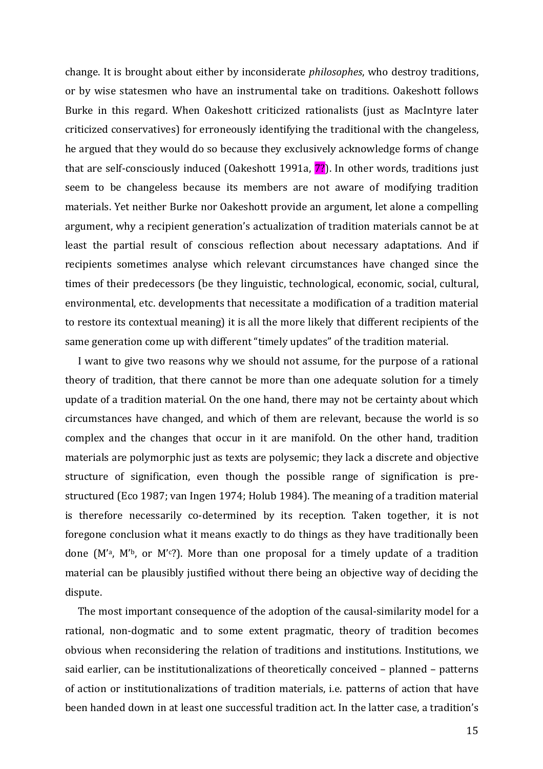change. It is brought about either by inconsiderate *philosophes*, who destroy traditions, or by wise statesmen who have an instrumental take on traditions. Oakeshott follows Burke in this regard. When Oakeshott criticized rationalists (just as MacIntyre later criticized conservatives) for erroneously identifying the traditional with the changeless, he argued that they would do so because they exclusively acknowledge forms of change that are self-consciously induced (Oakeshott 1991a,  $\overline{7}$ ). In other words, traditions just seem to be changeless because its members are not aware of modifying tradition materials. Yet neither Burke nor Oakeshott provide an argument, let alone a compelling argument, why a recipient generation's actualization of tradition materials cannot be at least the partial result of conscious reflection about necessary adaptations. And if recipients sometimes analyse which relevant circumstances have changed since the times of their predecessors (be they linguistic, technological, economic, social, cultural, environmental, etc. developments that necessitate a modification of a tradition material to restore its contextual meaning) it is all the more likely that different recipients of the same generation come up with different "timely updates" of the tradition material.

I want to give two reasons why we should not assume, for the purpose of a rational theory of tradition, that there cannot be more than one adequate solution for a timely update of a tradition material. On the one hand, there may not be certainty about which circumstances have changed, and which of them are relevant, because the world is so complex and the changes that occur in it are manifold. On the other hand, tradition materials are polymorphic just as texts are polysemic; they lack a discrete and objective structure of signification, even though the possible range of signification is prestructured (Eco 1987; van Ingen 1974; Holub 1984). The meaning of a tradition material is therefore necessarily co-determined by its reception. Taken together, it is not foregone conclusion what it means exactly to do things as they have traditionally been done  $(M^2, M^2)$ , or  $M^2$ ?). More than one proposal for a timely update of a tradition material can be plausibly justified without there being an objective way of deciding the dispute.

The most important consequence of the adoption of the causal-similarity model for a rational, non-dogmatic and to some extent pragmatic, theory of tradition becomes obvious when reconsidering the relation of traditions and institutions. Institutions, we said earlier, can be institutionalizations of theoretically conceived - planned - patterns of action or institutionalizations of tradition materials, i.e. patterns of action that have been handed down in at least one successful tradition act. In the latter case, a tradition's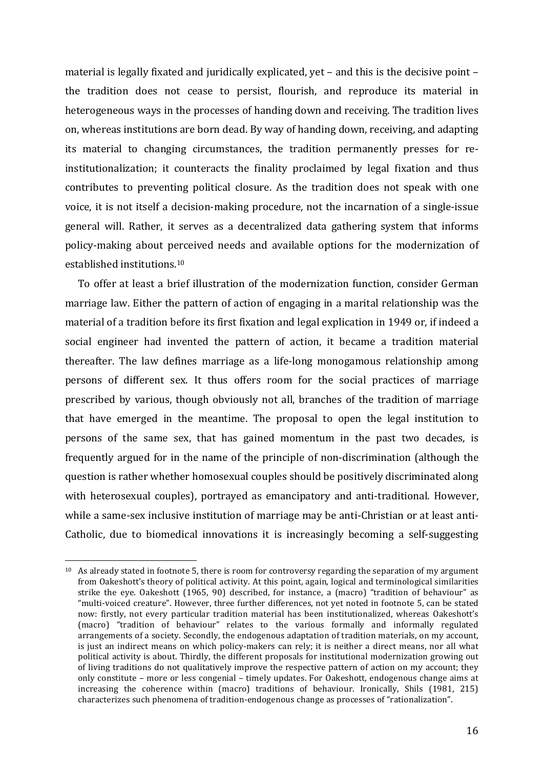material is legally fixated and juridically explicated, yet  $-$  and this is the decisive point  $$ the tradition does not cease to persist, flourish, and reproduce its material in heterogeneous ways in the processes of handing down and receiving. The tradition lives on, whereas institutions are born dead. By way of handing down, receiving, and adapting its material to changing circumstances, the tradition permanently presses for reinstitutionalization; it counteracts the finality proclaimed by legal fixation and thus contributes to preventing political closure. As the tradition does not speak with one voice, it is not itself a decision-making procedure, not the incarnation of a single-issue general will. Rather, it serves as a decentralized data gathering system that informs policy-making about perceived needs and available options for the modernization of established institutions.<sup>10</sup>

To offer at least a brief illustration of the modernization function, consider German marriage law. Either the pattern of action of engaging in a marital relationship was the material of a tradition before its first fixation and legal explication in 1949 or, if indeed a social engineer had invented the pattern of action, it became a tradition material thereafter. The law defines marriage as a life-long monogamous relationship among persons of different sex. It thus offers room for the social practices of marriage prescribed by various, though obviously not all, branches of the tradition of marriage that have emerged in the meantime. The proposal to open the legal institution to persons of the same sex, that has gained momentum in the past two decades, is frequently argued for in the name of the principle of non-discrimination (although the question is rather whether homosexual couples should be positively discriminated along with heterosexual couples), portrayed as emancipatory and anti-traditional. However, while a same-sex inclusive institution of marriage may be anti-Christian or at least anti-Catholic, due to biomedical innovations it is increasingly becoming a self-suggesting

 $10$  As already stated in footnote 5, there is room for controversy regarding the separation of my argument from Oakeshott's theory of political activity. At this point, again, logical and terminological similarities strike the eye. Oakeshott (1965, 90) described, for instance, a (macro) "tradition of behaviour" as "multi-voiced creature". However, three further differences, not yet noted in footnote 5, can be stated now: firstly, not every particular tradition material has been institutionalized, whereas Oakeshott's (macro) "tradition of behaviour" relates to the various formally and informally regulated arrangements of a society. Secondly, the endogenous adaptation of tradition materials, on my account, is just an indirect means on which policy-makers can rely; it is neither a direct means, nor all what political activity is about. Thirdly, the different proposals for institutional modernization growing out of living traditions do not qualitatively improve the respective pattern of action on my account; they only constitute – more or less congenial – timely updates. For Oakeshott, endogenous change aims at increasing the coherence within (macro) traditions of behaviour. Ironically, Shils (1981, 215) characterizes such phenomena of tradition-endogenous change as processes of "rationalization".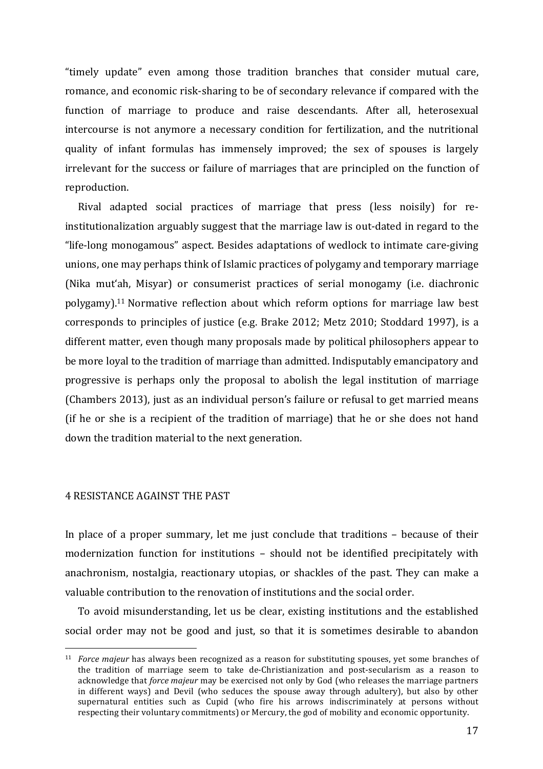"timely update" even among those tradition branches that consider mutual care, romance, and economic risk-sharing to be of secondary relevance if compared with the function of marriage to produce and raise descendants. After all, heterosexual intercourse is not anymore a necessary condition for fertilization, and the nutritional quality of infant formulas has immensely improved; the sex of spouses is largely irrelevant for the success or failure of marriages that are principled on the function of reproduction. 

Rival adapted social practices of marriage that press (less noisily) for reinstitutionalization arguably suggest that the marriage law is out-dated in regard to the "life-long monogamous" aspect. Besides adaptations of wedlock to intimate care-giving unions, one may perhaps think of Islamic practices of polygamy and temporary marriage (Nika mut'ah, Misyar) or consumerist practices of serial monogamy (i.e. diachronic polygamy).<sup>11</sup> Normative reflection about which reform options for marriage law best corresponds to principles of justice (e.g. Brake 2012; Metz 2010; Stoddard 1997), is a different matter, even though many proposals made by political philosophers appear to be more loyal to the tradition of marriage than admitted. Indisputably emancipatory and progressive is perhaps only the proposal to abolish the legal institution of marriage (Chambers 2013), just as an individual person's failure or refusal to get married means (if he or she is a recipient of the tradition of marriage) that he or she does not hand down the tradition material to the next generation.

### 4 RESISTANCE AGAINST THE PAST

 

In place of a proper summary, let me just conclude that traditions  $-$  because of their modernization function for institutions – should not be identified precipitately with anachronism, nostalgia, reactionary utopias, or shackles of the past. They can make a valuable contribution to the renovation of institutions and the social order.

To avoid misunderstanding, let us be clear, existing institutions and the established social order may not be good and just, so that it is sometimes desirable to abandon

<sup>&</sup>lt;sup>11</sup> *Force majeur* has always been recognized as a reason for substituting spouses, yet some branches of the tradition of marriage seem to take de-Christianization and post-secularism as a reason to acknowledge that *force majeur* may be exercised not only by God (who releases the marriage partners in different ways) and Devil (who seduces the spouse away through adultery), but also by other supernatural entities such as Cupid (who fire his arrows indiscriminately at persons without respecting their voluntary commitments) or Mercury, the god of mobility and economic opportunity.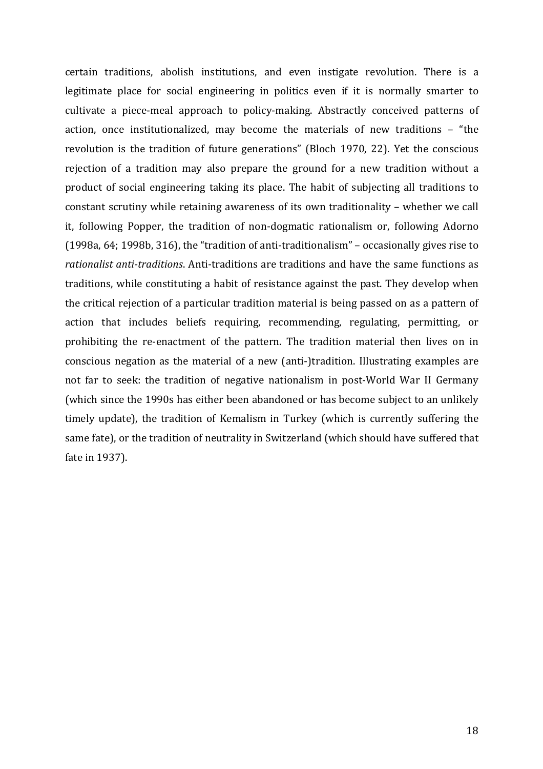certain traditions, abolish institutions, and even instigate revolution. There is a legitimate place for social engineering in politics even if it is normally smarter to cultivate a piece-meal approach to policy-making. Abstractly conceived patterns of action, once institutionalized, may become the materials of new traditions - "the revolution is the tradition of future generations" (Bloch 1970, 22). Yet the conscious rejection of a tradition may also prepare the ground for a new tradition without a product of social engineering taking its place. The habit of subjecting all traditions to constant scrutiny while retaining awareness of its own traditionality – whether we call it, following Popper, the tradition of non-dogmatic rationalism or, following Adorno (1998a, 64; 1998b, 316), the "tradition of anti-traditionalism" – occasionally gives rise to rationalist anti-traditions. Anti-traditions are traditions and have the same functions as traditions, while constituting a habit of resistance against the past. They develop when the critical rejection of a particular tradition material is being passed on as a pattern of action that includes beliefs requiring, recommending, regulating, permitting, or prohibiting the re-enactment of the pattern. The tradition material then lives on in conscious negation as the material of a new (anti-)tradition. Illustrating examples are not far to seek: the tradition of negative nationalism in post-World War II Germany (which since the 1990s has either been abandoned or has become subject to an unlikely timely update), the tradition of Kemalism in Turkey (which is currently suffering the same fate), or the tradition of neutrality in Switzerland (which should have suffered that fate in 1937).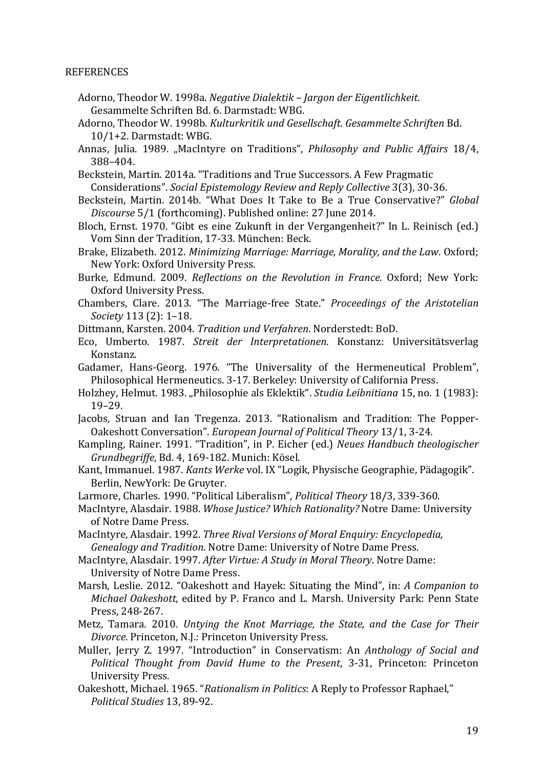### REFERENCES

- Adorno, Theodor W. 1998a. *Negative Dialektik Jargon der Eigentlichkeit*. Gesammelte Schriften Bd. 6. Darmstadt: WBG.
- Adorno, Theodor W. 1998b. *Kulturkritik und Gesellschaft. Gesammelte Schriften* Bd.  $10/1+2$ . Darmstadt: WBG.
- Annas, Julia. 1989. "MacIntyre on Traditions", *Philosophy and Public Affairs* 18/4, 388–404.
- Beckstein, Martin. 2014a. "Traditions and True Successors. A Few Pragmatic Considerations". *Social Epistemology Review and Reply Collective* 3(3), 30-36.
- Beckstein, Martin. 2014b. "What Does It Take to Be a True Conservative?" Global *Discourse* 5/1 (forthcoming). Published online: 27 June 2014.
- Bloch, Ernst. 1970. "Gibt es eine Zukunft in der Vergangenheit?" In L. Reinisch (ed.) Vom Sinn der Tradition, 17-33. München: Beck.
- Brake, Elizabeth. 2012. *Minimizing Marriage: Marriage, Morality, and the Law. Oxford;* New York: Oxford University Press.
- Burke, Edmund. 2009. *Reflections on the Revolution in France*. Oxford; New York: Oxford University Press.
- Chambers, Clare. 2013. "The Marriage-free State." *Proceedings of the Aristotelian Society* 113 (2): 1-18.

Dittmann, Karsten. 2004. *Tradition und Verfahren*. Norderstedt: BoD.

- Eco, Umberto. 1987. *Streit der Interpretationen*. Konstanz: Universitätsverlag Konstanz.
- Gadamer, Hans-Georg. 1976. "The Universality of the Hermeneutical Problem", Philosophical Hermeneutics. 3-17. Berkeley: University of California Press.
- Holzhey, Helmut. 1983. "Philosophie als Eklektik". *Studia Leibnitiana* 15, no. 1 (1983): 19–29.
- Jacobs, Struan and Ian Tregenza. 2013. "Rationalism and Tradition: The Popper-Oakeshott Conversation". *European Journal of Political Theory* 13/1, 3-24.
- Kampling, Rainer. 1991. "Tradition", in P. Eicher (ed.) *Neues Handbuch theologischer Grundbegriffe*, Bd. 4, 169-182. Munich: Kösel.
- Kant, Immanuel. 1987. *Kants Werke* vol. IX "Logik, Physische Geographie, Pädagogik". Berlin, NewYork: De Gruyter.
- Larmore, Charles. 1990. "Political Liberalism", Political Theory 18/3, 339-360.
- MacIntyre, Alasdair. 1988. Whose Justice? Which Rationality? Notre Dame: University of Notre Dame Press.
- MacIntyre, Alasdair. 1992. *Three Rival Versions of Moral Enquiry: Encyclopedia, Genealogy and Tradition.* Notre Dame: University of Notre Dame Press.
- MacIntyre, Alasdair. 1997. *After Virtue: A Study in Moral Theory*. Notre Dame: University of Notre Dame Press.
- Marsh, Leslie. 2012. "Oakeshott and Hayek: Situating the Mind", in: *A Companion to Michael Oakeshott*, edited by P. Franco and L. Marsh. University Park: Penn State Press, 248-267.
- Metz, Tamara. 2010. *Untying the Knot Marriage, the State, and the Case for Their Divorce*. Princeton, N.J.: Princeton University Press.
- Muller, Jerry Z. 1997. "Introduction" in Conservatism: An Anthology of Social and *Political Thought from David Hume to the Present*, 3-31, Princeton: Princeton University Press.
- Oakeshott, Michael. 1965. "Rationalism in Politics: A Reply to Professor Raphael," *Political Studies* 13, 89-92.